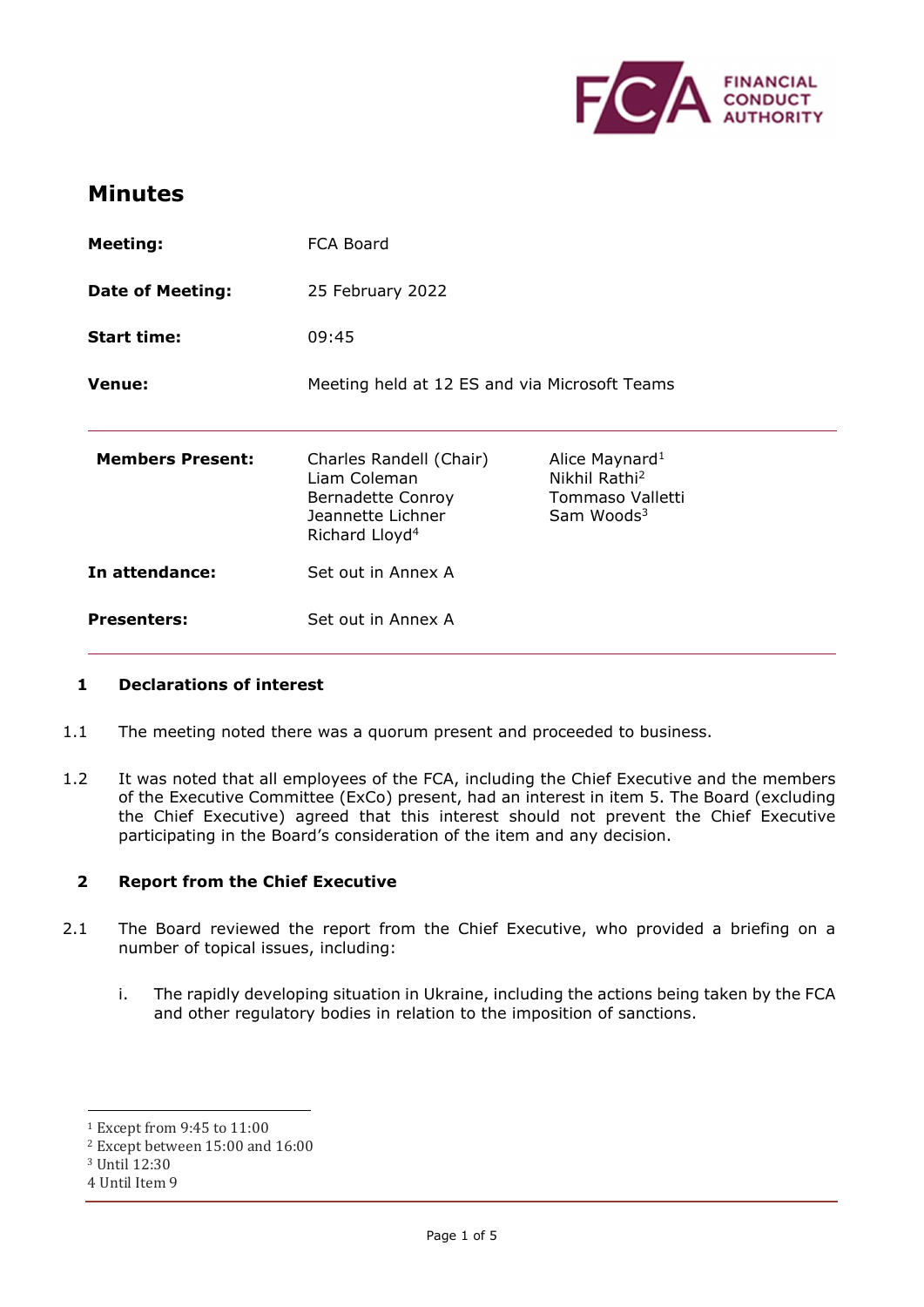

# **Minutes**

| <b>Meeting:</b>         | <b>FCA Board</b>                                                                                                |                                                                                              |
|-------------------------|-----------------------------------------------------------------------------------------------------------------|----------------------------------------------------------------------------------------------|
| <b>Date of Meeting:</b> | 25 February 2022                                                                                                |                                                                                              |
| <b>Start time:</b>      | 09:45                                                                                                           |                                                                                              |
| <b>Venue:</b>           | Meeting held at 12 ES and via Microsoft Teams                                                                   |                                                                                              |
| <b>Members Present:</b> | Charles Randell (Chair)<br>Liam Coleman<br>Bernadette Conroy<br>Jeannette Lichner<br>Richard Lloyd <sup>4</sup> | Alice Maynard <sup>1</sup><br>Nikhil Rathi <sup>2</sup><br>Tommaso Valletti<br>Sam Woods $3$ |
| In attendance:          | Set out in Annex A                                                                                              |                                                                                              |
| <b>Presenters:</b>      | Set out in Annex A                                                                                              |                                                                                              |

# **1 Declarations of interest**

- 1.1 The meeting noted there was a quorum present and proceeded to business.
- 1.2 It was noted that all employees of the FCA, including the Chief Executive and the members of the Executive Committee (ExCo) present, had an interest in item 5. The Board (excluding the Chief Executive) agreed that this interest should not prevent the Chief Executive participating in the Board's consideration of the item and any decision.

# **2 Report from the Chief Executive**

- 2.1 The Board reviewed the report from the Chief Executive, who provided a briefing on a number of topical issues, including:
	- i. The rapidly developing situation in Ukraine, including the actions being taken by the FCA and other regulatory bodies in relation to the imposition of sanctions.

<sup>1</sup> Except from 9:45 to 11:00

<sup>2</sup> Except between 15:00 and 16:00

<sup>3</sup> Until 12:30

<sup>4</sup> Until Item 9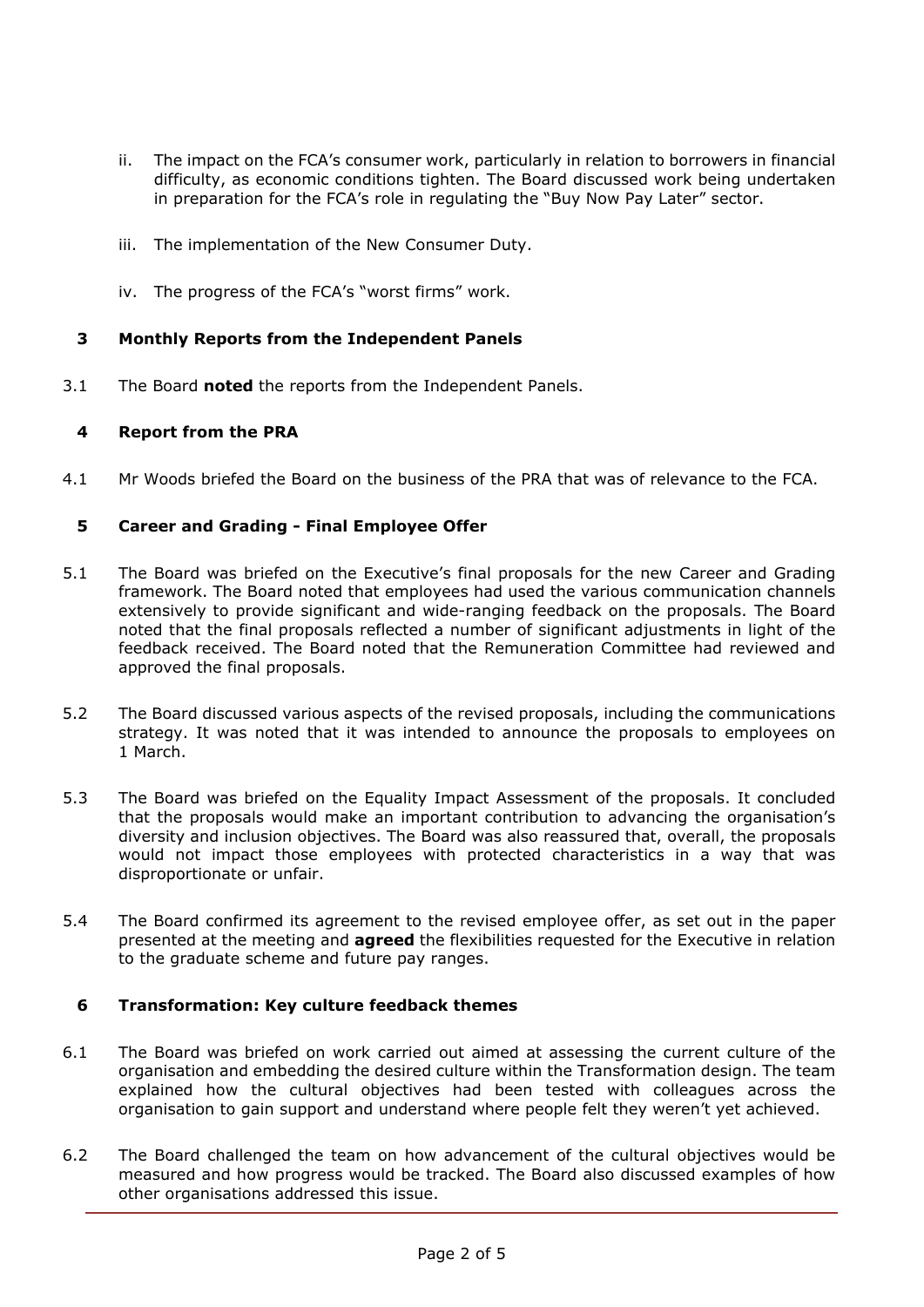- ii. The impact on the FCA's consumer work, particularly in relation to borrowers in financial difficulty, as economic conditions tighten. The Board discussed work being undertaken in preparation for the FCA's role in regulating the "Buy Now Pay Later" sector.
- iii. The implementation of the New Consumer Duty.
- iv. The progress of the FCA's "worst firms" work.

### **3 Monthly Reports from the Independent Panels**

3.1 The Board **noted** the reports from the Independent Panels.

### **4 Report from the PRA**

4.1 Mr Woods briefed the Board on the business of the PRA that was of relevance to the FCA.

### **5 Career and Grading - Final Employee Offer**

- 5.1 The Board was briefed on the Executive's final proposals for the new Career and Grading framework. The Board noted that employees had used the various communication channels extensively to provide significant and wide-ranging feedback on the proposals. The Board noted that the final proposals reflected a number of significant adjustments in light of the feedback received. The Board noted that the Remuneration Committee had reviewed and approved the final proposals.
- 5.2 The Board discussed various aspects of the revised proposals, including the communications strategy. It was noted that it was intended to announce the proposals to employees on 1 March.
- 5.3 The Board was briefed on the Equality Impact Assessment of the proposals. It concluded that the proposals would make an important contribution to advancing the organisation's diversity and inclusion objectives. The Board was also reassured that, overall, the proposals would not impact those employees with protected characteristics in a way that was disproportionate or unfair.
- 5.4 The Board confirmed its agreement to the revised employee offer, as set out in the paper presented at the meeting and **agreed** the flexibilities requested for the Executive in relation to the graduate scheme and future pay ranges.

#### **6 Transformation: Key culture feedback themes**

- 6.1 The Board was briefed on work carried out aimed at assessing the current culture of the organisation and embedding the desired culture within the Transformation design. The team explained how the cultural objectives had been tested with colleagues across the organisation to gain support and understand where people felt they weren't yet achieved.
- 6.2 The Board challenged the team on how advancement of the cultural objectives would be measured and how progress would be tracked. The Board also discussed examples of how other organisations addressed this issue.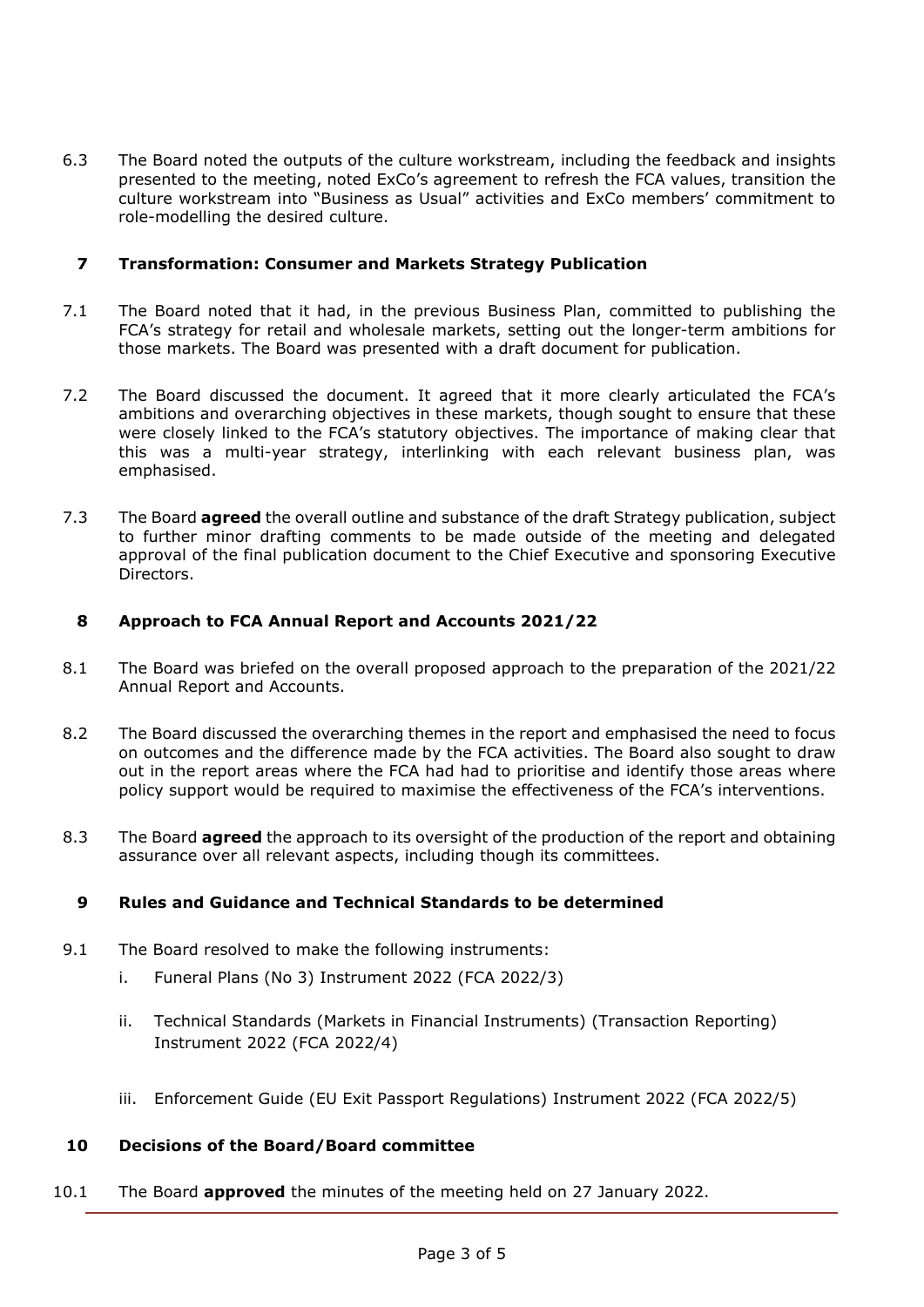6.3 The Board noted the outputs of the culture workstream, including the feedback and insights presented to the meeting, noted ExCo's agreement to refresh the FCA values, transition the culture workstream into "Business as Usual" activities and ExCo members' commitment to role-modelling the desired culture.

# **7 Transformation: Consumer and Markets Strategy Publication**

- 7.1 The Board noted that it had, in the previous Business Plan, committed to publishing the FCA's strategy for retail and wholesale markets, setting out the longer-term ambitions for those markets. The Board was presented with a draft document for publication.
- 7.2 The Board discussed the document. It agreed that it more clearly articulated the FCA's ambitions and overarching objectives in these markets, though sought to ensure that these were closely linked to the FCA's statutory objectives. The importance of making clear that this was a multi-year strategy, interlinking with each relevant business plan, was emphasised.
- 7.3 The Board **agreed** the overall outline and substance of the draft Strategy publication, subject to further minor drafting comments to be made outside of the meeting and delegated approval of the final publication document to the Chief Executive and sponsoring Executive Directors.

# **8 Approach to FCA Annual Report and Accounts 2021/22**

- 8.1 The Board was briefed on the overall proposed approach to the preparation of the 2021/22 Annual Report and Accounts.
- 8.2 The Board discussed the overarching themes in the report and emphasised the need to focus on outcomes and the difference made by the FCA activities. The Board also sought to draw out in the report areas where the FCA had had to prioritise and identify those areas where policy support would be required to maximise the effectiveness of the FCA's interventions.
- 8.3 The Board **agreed** the approach to its oversight of the production of the report and obtaining assurance over all relevant aspects, including though its committees.

# **9 Rules and Guidance and Technical Standards to be determined**

- 9.1 The Board resolved to make the following instruments:
	- i. Funeral Plans (No 3) Instrument 2022 (FCA 2022/3)
	- ii. Technical Standards (Markets in Financial Instruments) (Transaction Reporting) Instrument 2022 (FCA 2022/4)
	- iii. Enforcement Guide (EU Exit Passport Regulations) Instrument 2022 (FCA 2022/5)

#### **10 Decisions of the Board/Board committee**

10.1 The Board **approved** the minutes of the meeting held on 27 January 2022.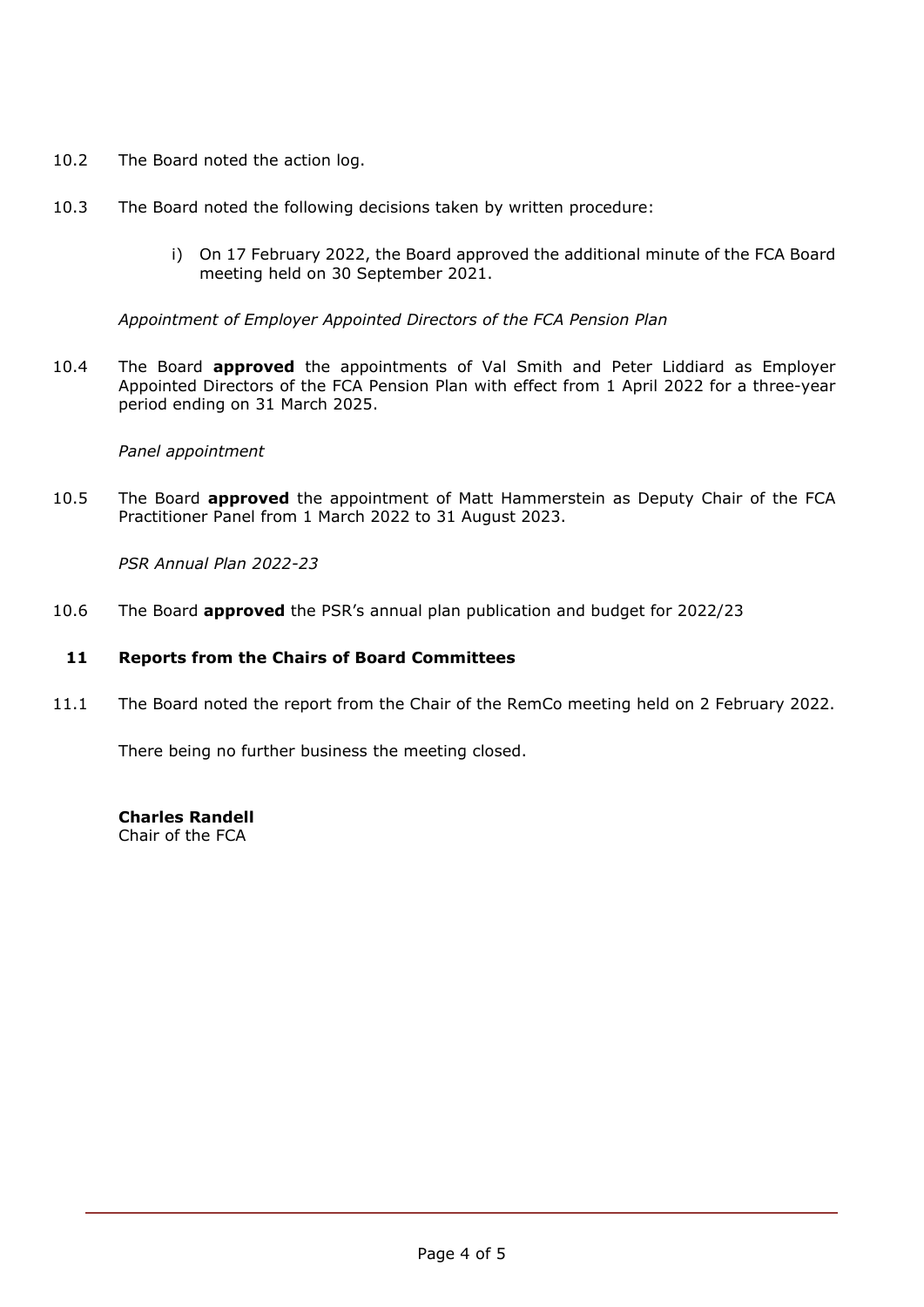- 10.2 The Board noted the action log.
- 10.3 The Board noted the following decisions taken by written procedure:
	- i) On 17 February 2022, the Board approved the additional minute of the FCA Board meeting held on 30 September 2021.

*Appointment of Employer Appointed Directors of the FCA Pension Plan* 

10.4 The Board **approved** the appointments of Val Smith and Peter Liddiard as Employer Appointed Directors of the FCA Pension Plan with effect from 1 April 2022 for a three-year period ending on 31 March 2025.

# *Panel appointment*

10.5 The Board **approved** the appointment of Matt Hammerstein as Deputy Chair of the FCA Practitioner Panel from 1 March 2022 to 31 August 2023.

*PSR Annual Plan 2022-23* 

10.6 The Board **approved** the PSR's annual plan publication and budget for 2022/23

# **11 Reports from the Chairs of Board Committees**

11.1 The Board noted the report from the Chair of the RemCo meeting held on 2 February 2022.

There being no further business the meeting closed.

**Charles Randell** Chair of the FCA